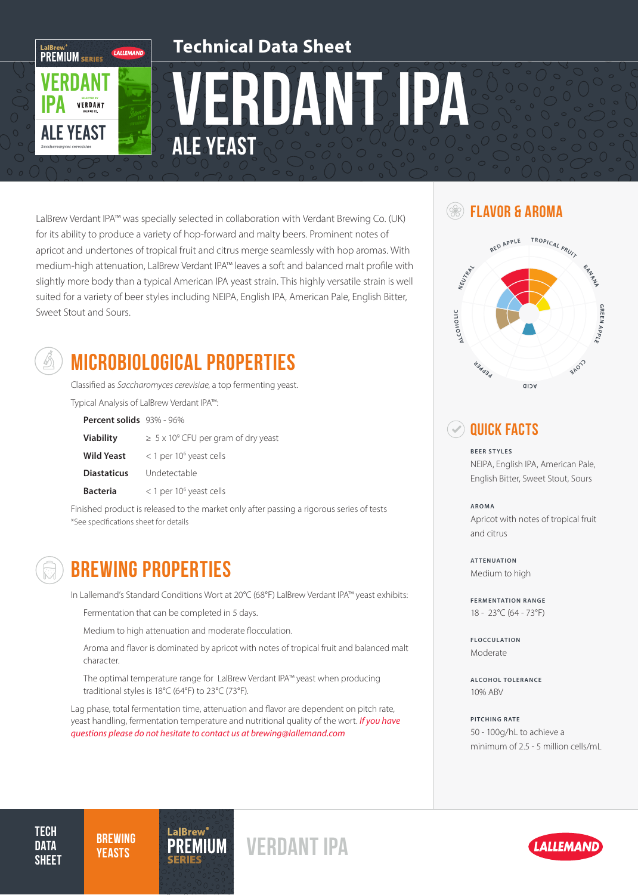

LalBrew Verdant IPA™ was specially selected in collaboration with Verdant Brewing Co. (UK) for its ability to produce a variety of hop-forward and malty beers. Prominent notes of apricot and undertones of tropical fruit and citrus merge seamlessly with hop aromas. With medium-high attenuation, LalBrew Verdant IPA™ leaves a soft and balanced malt profile with slightly more body than a typical American IPA yeast strain. This highly versatile strain is well suited for a variety of beer styles including NEIPA, English IPA, American Pale, English Bitter, Sweet Stout and Sours.



# MICROBIOLOGICAL PROPERTIES

Classified as Saccharomyces cerevisiae, a top fermenting yeast. Typical Analysis of LalBrew Verdant IPA™:

| Percent solids 93% - 96% |                                                |
|--------------------------|------------------------------------------------|
| <b>Viability</b>         | $\geq 5 \times 10^9$ CFU per gram of dry yeast |
| <b>Wild Yeast</b>        | $<$ 1 per 10 <sup>6</sup> yeast cells          |
| <b>Diastaticus</b>       | Undetectable                                   |
| <b>Bacteria</b>          | $<$ 1 per 10 <sup>6</sup> yeast cells          |

Finished product is released to the market only after passing a rigorous series of tests \*See specifications sheet for details

BREWING PROPERTIES

In Lallemand's Standard Conditions Wort at 20°C (68°F) LalBrew Verdant IPA™ yeast exhibits:

Fermentation that can be completed in 5 days.

Medium to high attenuation and moderate flocculation.

Aroma and flavor is dominated by apricot with notes of tropical fruit and balanced malt character.

The optimal temperature range for LalBrew Verdant IPA™ yeast when producing traditional styles is 18°C (64°F) to 23°C (73°F).

Lag phase, total fermentation time, attenuation and flavor are dependent on pitch rate, yeast handling, fermentation temperature and nutritional quality of the wort. *If you have questions please do not hesitate to contact us at brewing@lallemand.com*

**IUM** 

#### **SEE FLAVOR & AROMA**



### **Quick Facts**

**BEER STYLES** NEIPA, English IPA, American Pale, English Bitter, Sweet Stout, Sours

**AROMA** Apricot with notes of tropical fruit and citrus

**ATTENUATION** Medium to high

**FERMENTATION RANGE** 18 - 23°C (64 - 73°F)

**FLOCCULATION** Moderate

**ALCOHOL TOLERANCE** 10% ABV

**PITCHING RATE** 50 - 100g/hL to achieve a minimum of 2.5 - 5 million cells/mL

**TECH DATA SHEET**  **BREWING YEASTS** 

Verdant IPA